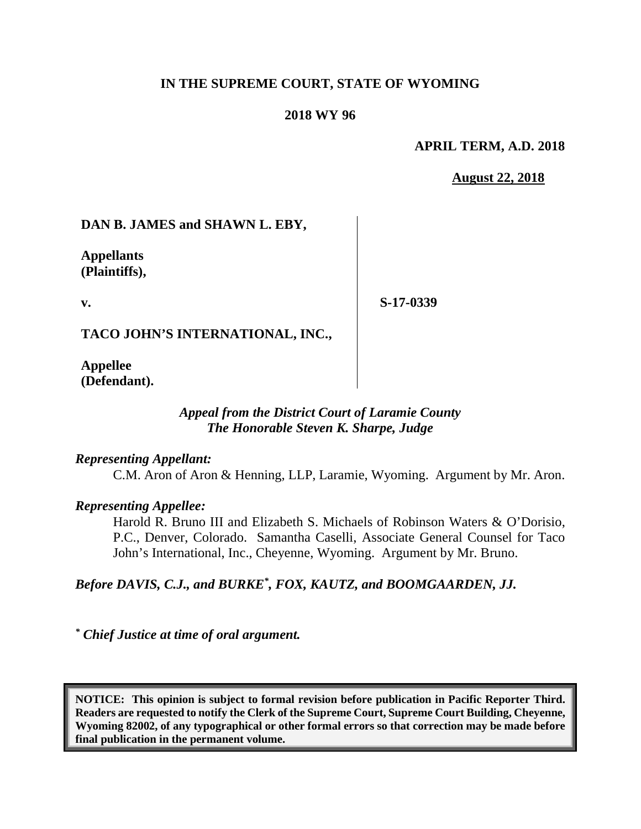### **IN THE SUPREME COURT, STATE OF WYOMING**

#### **2018 WY 96**

#### **APRIL TERM, A.D. 2018**

#### **August 22, 2018**

### **DAN B. JAMES and SHAWN L. EBY,**

**Appellants (Plaintiffs),**

**v.**

**S-17-0339**

**TACO JOHN'S INTERNATIONAL, INC.,** 

**Appellee (Defendant).**

# *Appeal from the District Court of Laramie County The Honorable Steven K. Sharpe, Judge*

### *Representing Appellant:*

C.M. Aron of Aron & Henning, LLP, Laramie, Wyoming. Argument by Mr. Aron.

### *Representing Appellee:*

Harold R. Bruno III and Elizabeth S. Michaels of Robinson Waters & O'Dorisio, P.C., Denver, Colorado. Samantha Caselli, Associate General Counsel for Taco John's International, Inc., Cheyenne, Wyoming. Argument by Mr. Bruno.

*Before DAVIS, C.J., and BURKE\* , FOX, KAUTZ, and BOOMGAARDEN, JJ.*

*\* Chief Justice at time of oral argument.*

**NOTICE: This opinion is subject to formal revision before publication in Pacific Reporter Third. Readers are requested to notify the Clerk of the Supreme Court, Supreme Court Building, Cheyenne, Wyoming 82002, of any typographical or other formal errors so that correction may be made before final publication in the permanent volume.**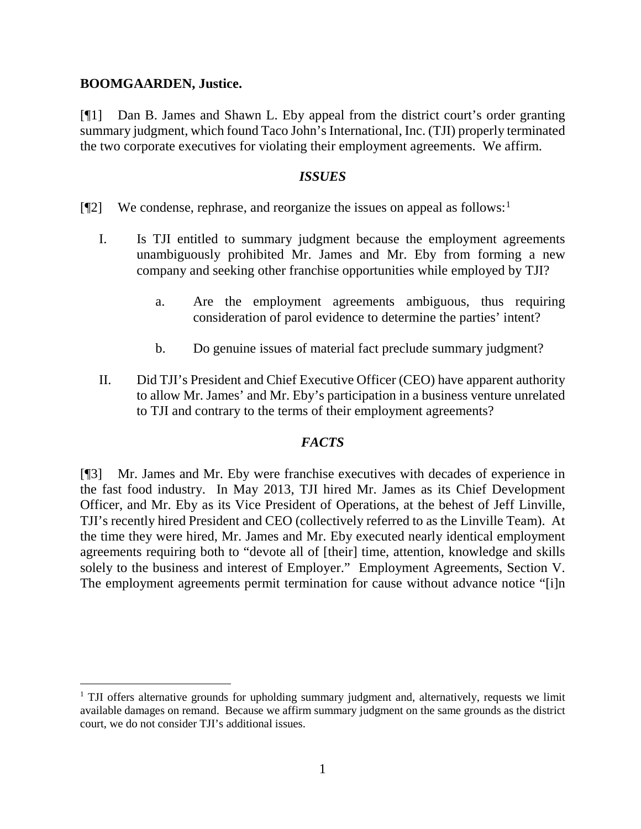### **BOOMGAARDEN, Justice.**

[¶1] Dan B. James and Shawn L. Eby appeal from the district court's order granting summary judgment, which found Taco John's International, Inc. (TJI) properly terminated the two corporate executives for violating their employment agreements. We affirm.

### *ISSUES*

- [ $[$ [2] We condense, rephrase, and reorganize the issues on appeal as follows:<sup>[1](#page-1-0)</sup>
	- I. Is TJI entitled to summary judgment because the employment agreements unambiguously prohibited Mr. James and Mr. Eby from forming a new company and seeking other franchise opportunities while employed by TJI?
		- a. Are the employment agreements ambiguous, thus requiring consideration of parol evidence to determine the parties' intent?
		- b. Do genuine issues of material fact preclude summary judgment?
	- II. Did TJI's President and Chief Executive Officer (CEO) have apparent authority to allow Mr. James' and Mr. Eby's participation in a business venture unrelated to TJI and contrary to the terms of their employment agreements?

# *FACTS*

[¶3] Mr. James and Mr. Eby were franchise executives with decades of experience in the fast food industry. In May 2013, TJI hired Mr. James as its Chief Development Officer, and Mr. Eby as its Vice President of Operations, at the behest of Jeff Linville, TJI's recently hired President and CEO (collectively referred to as the Linville Team). At the time they were hired, Mr. James and Mr. Eby executed nearly identical employment agreements requiring both to "devote all of [their] time, attention, knowledge and skills solely to the business and interest of Employer." Employment Agreements, Section V. The employment agreements permit termination for cause without advance notice "[i]n

<span id="page-1-0"></span> $1$  TJI offers alternative grounds for upholding summary judgment and, alternatively, requests we limit available damages on remand. Because we affirm summary judgment on the same grounds as the district court, we do not consider TJI's additional issues.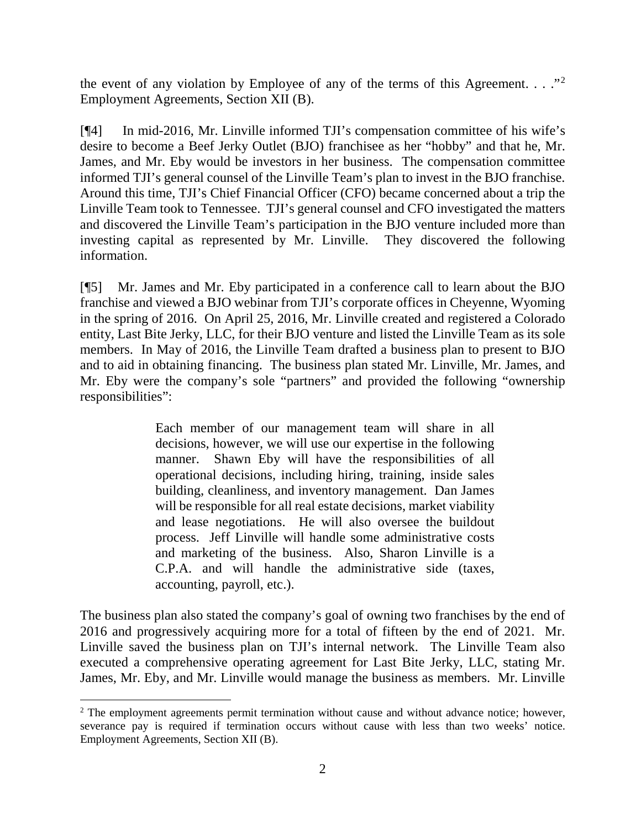the event of any violation by Employee of any of the terms of this Agreement.  $\ldots$ ." Employment Agreements, Section XII (B).

[¶4] In mid-2016, Mr. Linville informed TJI's compensation committee of his wife's desire to become a Beef Jerky Outlet (BJO) franchisee as her "hobby" and that he, Mr. James, and Mr. Eby would be investors in her business. The compensation committee informed TJI's general counsel of the Linville Team's plan to invest in the BJO franchise. Around this time, TJI's Chief Financial Officer (CFO) became concerned about a trip the Linville Team took to Tennessee. TJI's general counsel and CFO investigated the matters and discovered the Linville Team's participation in the BJO venture included more than investing capital as represented by Mr. Linville. They discovered the following information.

[¶5] Mr. James and Mr. Eby participated in a conference call to learn about the BJO franchise and viewed a BJO webinar from TJI's corporate offices in Cheyenne, Wyoming in the spring of 2016. On April 25, 2016, Mr. Linville created and registered a Colorado entity, Last Bite Jerky, LLC, for their BJO venture and listed the Linville Team as its sole members. In May of 2016, the Linville Team drafted a business plan to present to BJO and to aid in obtaining financing. The business plan stated Mr. Linville, Mr. James, and Mr. Eby were the company's sole "partners" and provided the following "ownership responsibilities":

> Each member of our management team will share in all decisions, however, we will use our expertise in the following manner. Shawn Eby will have the responsibilities of all operational decisions, including hiring, training, inside sales building, cleanliness, and inventory management. Dan James will be responsible for all real estate decisions, market viability and lease negotiations. He will also oversee the buildout process. Jeff Linville will handle some administrative costs and marketing of the business. Also, Sharon Linville is a C.P.A. and will handle the administrative side (taxes, accounting, payroll, etc.).

The business plan also stated the company's goal of owning two franchises by the end of 2016 and progressively acquiring more for a total of fifteen by the end of 2021. Mr. Linville saved the business plan on TJI's internal network. The Linville Team also executed a comprehensive operating agreement for Last Bite Jerky, LLC, stating Mr. James, Mr. Eby, and Mr. Linville would manage the business as members. Mr. Linville

<span id="page-2-0"></span><sup>&</sup>lt;sup>2</sup> The employment agreements permit termination without cause and without advance notice; however, severance pay is required if termination occurs without cause with less than two weeks' notice. Employment Agreements, Section XII (B).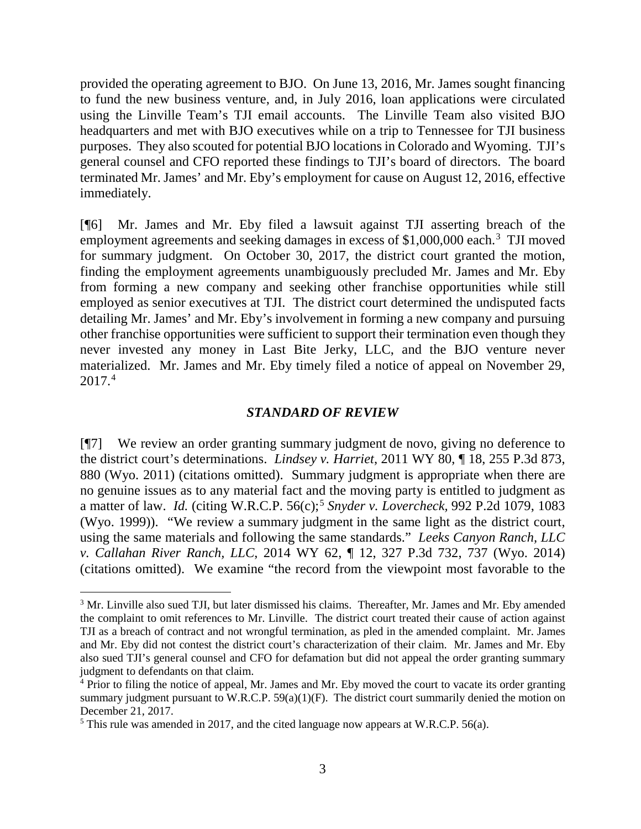provided the operating agreement to BJO. On June 13, 2016, Mr. James sought financing to fund the new business venture, and, in July 2016, loan applications were circulated using the Linville Team's TJI email accounts. The Linville Team also visited BJO headquarters and met with BJO executives while on a trip to Tennessee for TJI business purposes. They also scouted for potential BJO locations in Colorado and Wyoming. TJI's general counsel and CFO reported these findings to TJI's board of directors. The board terminated Mr. James' and Mr. Eby's employment for cause on August 12, 2016, effective immediately.

[¶6] Mr. James and Mr. Eby filed a lawsuit against TJI asserting breach of the employment agreements and seeking damages in excess of \$1,000,000 each.<sup>[3](#page-3-0)</sup> TJI moved for summary judgment. On October 30, 2017, the district court granted the motion, finding the employment agreements unambiguously precluded Mr. James and Mr. Eby from forming a new company and seeking other franchise opportunities while still employed as senior executives at TJI. The district court determined the undisputed facts detailing Mr. James' and Mr. Eby's involvement in forming a new company and pursuing other franchise opportunities were sufficient to support their termination even though they never invested any money in Last Bite Jerky, LLC, and the BJO venture never materialized. Mr. James and Mr. Eby timely filed a notice of appeal on November 29, 2017. [4](#page-3-1)

#### *STANDARD OF REVIEW*

[¶7] We review an order granting summary judgment de novo, giving no deference to the district court's determinations. *Lindsey v. Harriet*, 2011 WY 80, ¶ 18, 255 P.3d 873, 880 (Wyo. 2011) (citations omitted). Summary judgment is appropriate when there are no genuine issues as to any material fact and the moving party is entitled to judgment as a matter of law. *Id.* (citing W.R.C.P. 56(c); [5](#page-3-2) *Snyder v. Lovercheck,* 992 P.2d 1079, 1083 (Wyo. 1999)). "We review a summary judgment in the same light as the district court, using the same materials and following the same standards." *Leeks Canyon Ranch, LLC v. Callahan River Ranch, LLC*, 2014 WY 62, ¶ 12, 327 P.3d 732, 737 (Wyo. 2014) (citations omitted). We examine "the record from the viewpoint most favorable to the

<span id="page-3-0"></span><sup>&</sup>lt;sup>3</sup> Mr. Linville also sued TJI, but later dismissed his claims. Thereafter, Mr. James and Mr. Eby amended the complaint to omit references to Mr. Linville. The district court treated their cause of action against TJI as a breach of contract and not wrongful termination, as pled in the amended complaint. Mr. James and Mr. Eby did not contest the district court's characterization of their claim. Mr. James and Mr. Eby also sued TJI's general counsel and CFO for defamation but did not appeal the order granting summary judgment to defendants on that claim.<br><sup>4</sup> Prior to filing the notice of appeal, Mr. James and Mr. Eby moved the court to vacate its order granting

<span id="page-3-1"></span>summary judgment pursuant to W.R.C.P.  $59(a)(1)(F)$ . The district court summarily denied the motion on December 21, 2017.

<span id="page-3-2"></span><sup>5</sup> This rule was amended in 2017, and the cited language now appears at W.R.C.P. 56(a).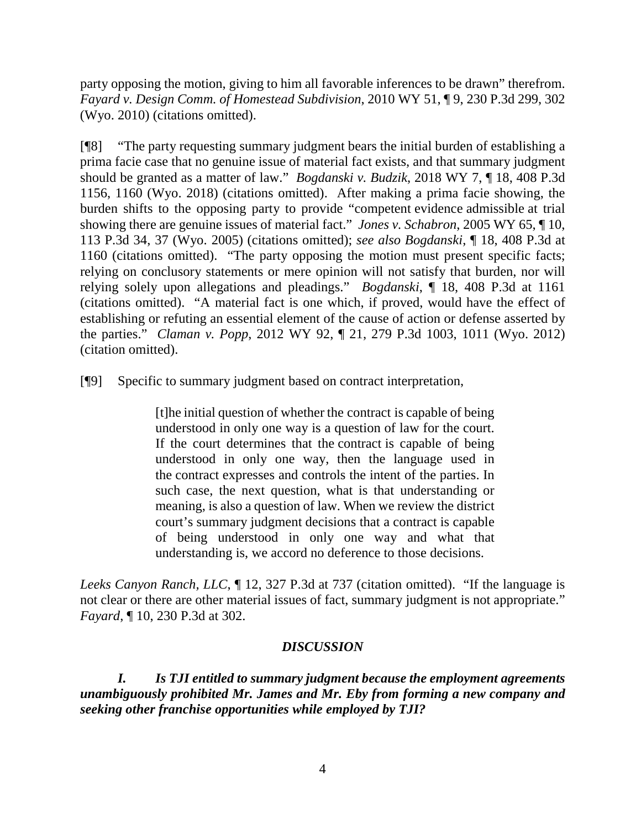party opposing the motion, giving to him all favorable inferences to be drawn" therefrom. *Fayard v. Design Comm. of Homestead Subdivision*, 2010 WY 51, ¶ 9, 230 P.3d 299, 302 (Wyo. 2010) (citations omitted).

[¶8] "The party requesting summary judgment bears the initial burden of establishing a prima facie case that no genuine issue of material fact exists, and that summary judgment should be granted as a matter of law." *Bogdanski v. Budzik*, 2018 WY 7, ¶ 18, 408 P.3d 1156, 1160 (Wyo. 2018) (citations omitted). After making a prima facie showing, the burden shifts to the opposing party to provide "competent evidence admissible at trial showing there are genuine issues of material fact." *Jones v. Schabron*, 2005 WY 65, ¶ 10, 113 P.3d 34, 37 (Wyo. 2005) (citations omitted); *see also Bogdanski*, ¶ 18, 408 P.3d at 1160 (citations omitted). "The party opposing the motion must present specific facts; relying on conclusory statements or mere opinion will not satisfy that burden, nor will relying solely upon allegations and pleadings." *Bogdanski*, ¶ 18, 408 P.3d at 1161 (citations omitted). "A material fact is one which, if proved, would have the effect of establishing or refuting an essential element of the cause of action or defense asserted by the parties." *Claman v. Popp*, 2012 WY 92, ¶ 21, 279 P.3d 1003, 1011 (Wyo. 2012) (citation omitted).

[¶9] Specific to summary judgment based on contract interpretation,

[t]he initial question of whether the contract is capable of being understood in only one way is a question of law for the court. If the court determines that the contract is capable of being understood in only one way, then the language used in the contract expresses and controls the intent of the parties. In such case, the next question, what is that understanding or meaning, is also a question of law. When we review the district court's summary judgment decisions that a contract is capable of being understood in only one way and what that understanding is, we accord no deference to those decisions.

*Leeks Canyon Ranch, LLC*, ¶ 12, 327 P.3d at 737 (citation omitted). "If the language is not clear or there are other material issues of fact, summary judgment is not appropriate." *Fayard*, ¶ 10, 230 P.3d at 302.

# *DISCUSSION*

*I. Is TJI entitled to summary judgment because the employment agreements unambiguously prohibited Mr. James and Mr. Eby from forming a new company and seeking other franchise opportunities while employed by TJI?*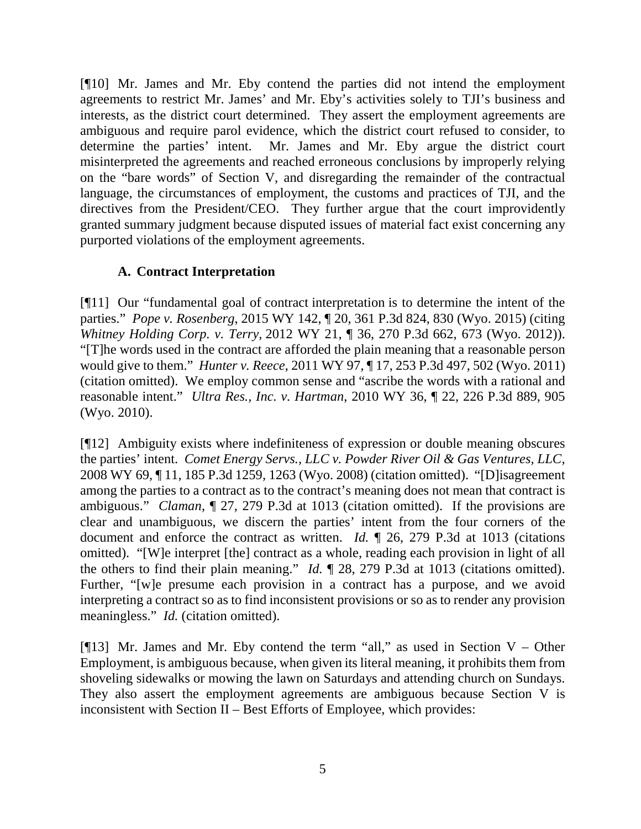[¶10] Mr. James and Mr. Eby contend the parties did not intend the employment agreements to restrict Mr. James' and Mr. Eby's activities solely to TJI's business and interests, as the district court determined. They assert the employment agreements are ambiguous and require parol evidence, which the district court refused to consider, to determine the parties' intent. Mr. James and Mr. Eby argue the district court misinterpreted the agreements and reached erroneous conclusions by improperly relying on the "bare words" of Section V, and disregarding the remainder of the contractual language, the circumstances of employment, the customs and practices of TJI, and the directives from the President/CEO. They further argue that the court improvidently granted summary judgment because disputed issues of material fact exist concerning any purported violations of the employment agreements.

# **A. Contract Interpretation**

[¶11] Our "fundamental goal of contract interpretation is to determine the intent of the parties." *Pope v. Rosenberg*, 2015 WY 142, ¶ 20, 361 P.3d 824, 830 (Wyo. 2015) (citing *Whitney Holding Corp. v. Terry,* 2012 WY 21, ¶ 36, 270 P.3d 662, 673 (Wyo. 2012)). "[T]he words used in the contract are afforded the plain meaning that a reasonable person would give to them." *Hunter v. Reece*, 2011 WY 97, ¶ 17, 253 P.3d 497, 502 (Wyo. 2011) (citation omitted). We employ common sense and "ascribe the words with a rational and reasonable intent." *Ultra Res., Inc. v. Hartman*, 2010 WY 36, ¶ 22, 226 P.3d 889, 905 (Wyo. 2010).

[¶12] Ambiguity exists where indefiniteness of expression or double meaning obscures the parties' intent. *Comet Energy Servs., LLC v. Powder River Oil & Gas Ventures, LLC*, 2008 WY 69, ¶ 11, 185 P.3d 1259, 1263 (Wyo. 2008) (citation omitted). "[D]isagreement among the parties to a contract as to the contract's meaning does not mean that contract is ambiguous." *Claman*, ¶ 27, 279 P.3d at 1013 (citation omitted). If the provisions are clear and unambiguous, we discern the parties' intent from the four corners of the document and enforce the contract as written. *Id.* ¶ 26, 279 P.3d at 1013 (citations omitted). "[W]e interpret [the] contract as a whole, reading each provision in light of all the others to find their plain meaning." *Id.* ¶ 28, 279 P.3d at 1013 (citations omitted). Further, "[w]e presume each provision in a contract has a purpose, and we avoid interpreting a contract so as to find inconsistent provisions or so as to render any provision meaningless." *Id.* (citation omitted).

[ $[13]$ ] Mr. James and Mr. Eby contend the term "all," as used in Section V – Other Employment, is ambiguous because, when given its literal meaning, it prohibits them from shoveling sidewalks or mowing the lawn on Saturdays and attending church on Sundays. They also assert the employment agreements are ambiguous because Section V is inconsistent with Section II – Best Efforts of Employee, which provides: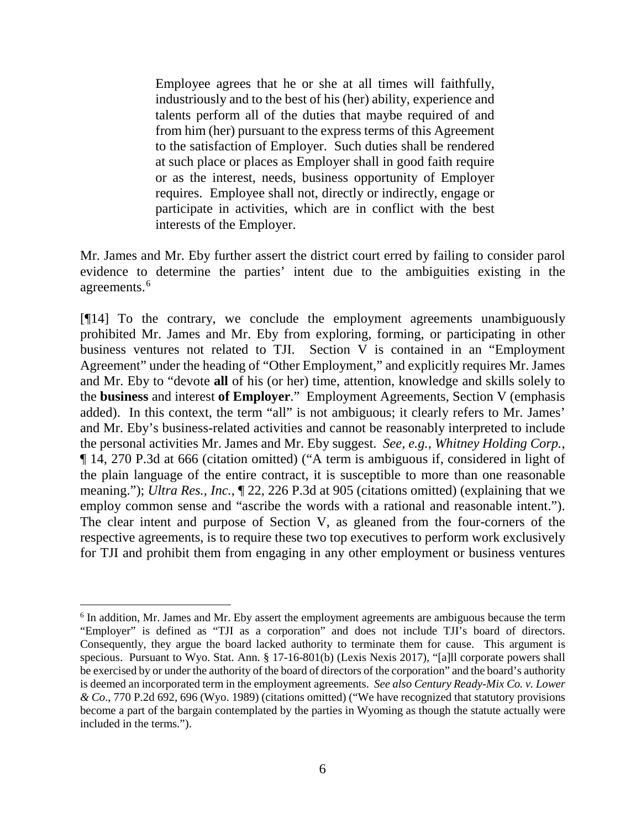Employee agrees that he or she at all times will faithfully, industriously and to the best of his (her) ability, experience and talents perform all of the duties that maybe required of and from him (her) pursuant to the express terms of this Agreement to the satisfaction of Employer. Such duties shall be rendered at such place or places as Employer shall in good faith require or as the interest, needs, business opportunity of Employer requires. Employee shall not, directly or indirectly, engage or participate in activities, which are in conflict with the best interests of the Employer.

Mr. James and Mr. Eby further assert the district court erred by failing to consider parol evidence to determine the parties' intent due to the ambiguities existing in the agreements. [6](#page-6-0)

[¶14] To the contrary, we conclude the employment agreements unambiguously prohibited Mr. James and Mr. Eby from exploring, forming, or participating in other business ventures not related to TJI. Section V is contained in an "Employment Agreement" under the heading of "Other Employment," and explicitly requires Mr. James and Mr. Eby to "devote **all** of his (or her) time, attention, knowledge and skills solely to the **business** and interest **of Employer**." Employment Agreements, Section V (emphasis added). In this context, the term "all" is not ambiguous; it clearly refers to Mr. James' and Mr. Eby's business-related activities and cannot be reasonably interpreted to include the personal activities Mr. James and Mr. Eby suggest. *See, e.g.*, *Whitney Holding Corp.*, ¶ 14, 270 P.3d at 666 (citation omitted) ("A term is ambiguous if, considered in light of the plain language of the entire contract, it is susceptible to more than one reasonable meaning."); *Ultra Res., Inc.*, ¶ 22, 226 P.3d at 905 (citations omitted) (explaining that we employ common sense and "ascribe the words with a rational and reasonable intent."). The clear intent and purpose of Section V, as gleaned from the four-corners of the respective agreements, is to require these two top executives to perform work exclusively for TJI and prohibit them from engaging in any other employment or business ventures

<span id="page-6-0"></span><sup>&</sup>lt;sup>6</sup> In addition, Mr. James and Mr. Eby assert the employment agreements are ambiguous because the term "Employer" is defined as "TJI as a corporation" and does not include TJI's board of directors. Consequently, they argue the board lacked authority to terminate them for cause. This argument is specious. Pursuant to Wyo. Stat. Ann. § 17-16-801(b) (Lexis Nexis 2017), "[a]ll corporate powers shall be exercised by or under the authority of the board of directors of the corporation" and the board's authority is deemed an incorporated term in the employment agreements. *See also Century Ready-Mix Co. v. Lower & Co*., 770 P.2d 692, 696 (Wyo. 1989) (citations omitted) ("We have recognized that statutory provisions become a part of the bargain contemplated by the parties in Wyoming as though the statute actually were included in the terms.").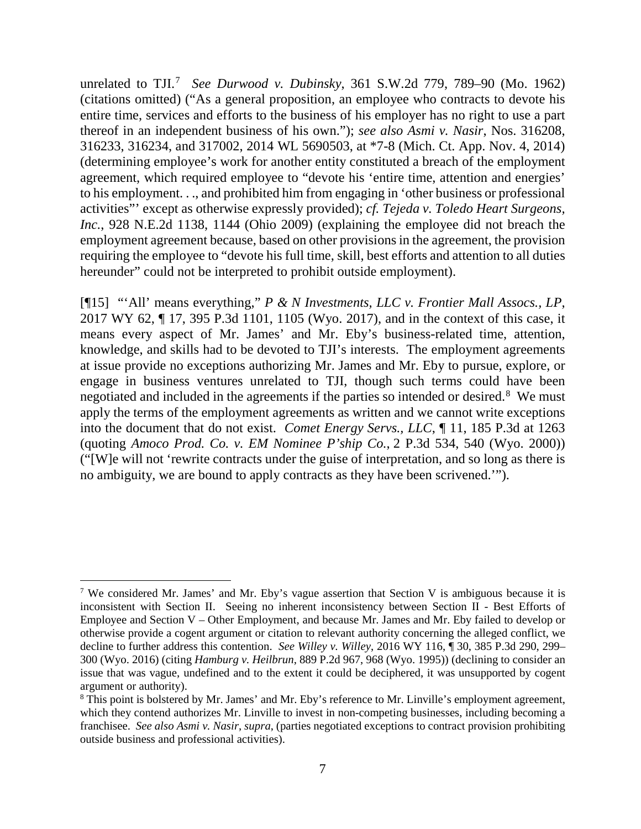unrelated to TJI.[7](#page-7-0) *See Durwood v. Dubinsky*, 361 S.W.2d 779, 789–90 (Mo. 1962) (citations omitted) ("As a general proposition, an employee who contracts to devote his entire time, services and efforts to the business of his employer has no right to use a part thereof in an independent business of his own."); *see also Asmi v. Nasir*, Nos. 316208, 316233, 316234, and 317002, 2014 WL 5690503, at \*7-8 (Mich. Ct. App. Nov. 4, 2014) (determining employee's work for another entity constituted a breach of the employment agreement, which required employee to "devote his 'entire time, attention and energies' to his employment. . ., and prohibited him from engaging in 'other business or professional activities"' except as otherwise expressly provided); *cf. Tejeda v. Toledo Heart Surgeons, Inc.*, 928 N.E.2d 1138, 1144 (Ohio 2009) (explaining the employee did not breach the employment agreement because, based on other provisions in the agreement, the provision requiring the employee to "devote his full time, skill, best efforts and attention to all duties hereunder" could not be interpreted to prohibit outside employment).

[¶15] "'All' means everything," *P & N Investments, LLC v. Frontier Mall Assocs., LP*, 2017 WY 62, ¶ 17, 395 P.3d 1101, 1105 (Wyo. 2017), and in the context of this case, it means every aspect of Mr. James' and Mr. Eby's business-related time, attention, knowledge, and skills had to be devoted to TJI's interests. The employment agreements at issue provide no exceptions authorizing Mr. James and Mr. Eby to pursue, explore, or engage in business ventures unrelated to TJI, though such terms could have been negotiated and included in the agreements if the parties so intended or desired.<sup>[8](#page-7-1)</sup> We must apply the terms of the employment agreements as written and we cannot write exceptions into the document that do not exist. *Comet Energy Servs., LLC*, ¶ 11, 185 P.3d at 1263 (quoting *Amoco Prod. Co. v. EM Nominee P'ship Co.*, 2 P.3d 534, 540 (Wyo. 2000)) ("[W]e will not 'rewrite contracts under the guise of interpretation, and so long as there is no ambiguity, we are bound to apply contracts as they have been scrivened.'").

<span id="page-7-0"></span><sup>&</sup>lt;sup>7</sup> We considered Mr. James' and Mr. Eby's vague assertion that Section V is ambiguous because it is inconsistent with Section II. Seeing no inherent inconsistency between Section II - Best Efforts of Employee and Section V – Other Employment, and because Mr. James and Mr. Eby failed to develop or otherwise provide a cogent argument or citation to relevant authority concerning the alleged conflict, we decline to further address this contention. *See Willey v. Willey*, 2016 WY 116, ¶ 30, 385 P.3d 290, 299– 300 (Wyo. 2016) (citing *Hamburg v. Heilbrun*, 889 P.2d 967, 968 (Wyo. 1995)) (declining to consider an issue that was vague, undefined and to the extent it could be deciphered, it was unsupported by cogent argument or authority).

<span id="page-7-1"></span><sup>8</sup> This point is bolstered by Mr. James' and Mr. Eby's reference to Mr. Linville's employment agreement, which they contend authorizes Mr. Linville to invest in non-competing businesses, including becoming a franchisee. *See also Asmi v. Nasir*, *supra*, (parties negotiated exceptions to contract provision prohibiting outside business and professional activities).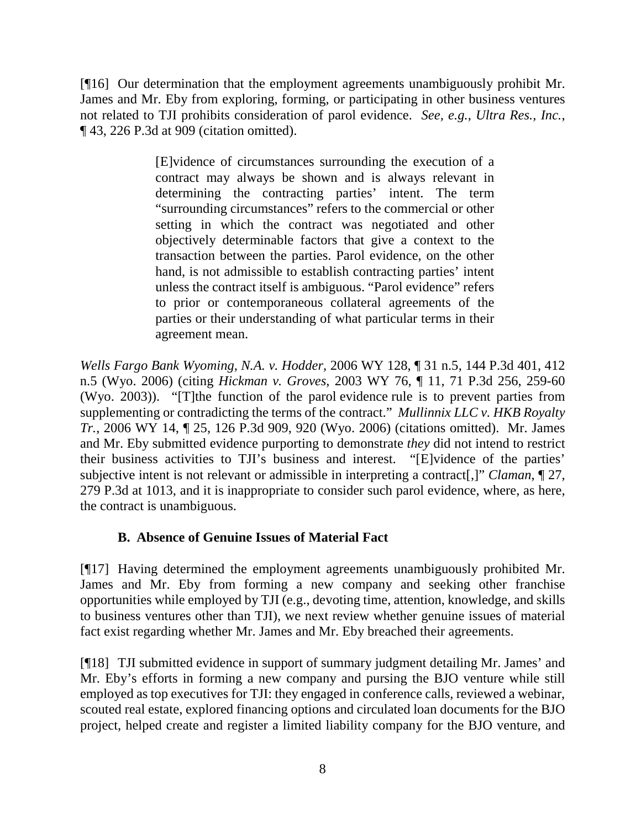[¶16] Our determination that the employment agreements unambiguously prohibit Mr. James and Mr. Eby from exploring, forming, or participating in other business ventures not related to TJI prohibits consideration of parol evidence. *See, e.g.*, *Ultra Res., Inc.*, ¶ 43, 226 P.3d at 909 (citation omitted).

> [E]vidence of circumstances surrounding the execution of a contract may always be shown and is always relevant in determining the contracting parties' intent. The term "surrounding circumstances" refers to the commercial or other setting in which the contract was negotiated and other objectively determinable factors that give a context to the transaction between the parties. Parol evidence, on the other hand, is not admissible to establish contracting parties' intent unless the contract itself is ambiguous. "Parol evidence" refers to prior or contemporaneous collateral agreements of the parties or their understanding of what particular terms in their agreement mean.

*Wells Fargo Bank Wyoming, N.A. v. Hodder*, 2006 WY 128, ¶ 31 n.5, 144 P.3d 401, 412 n.5 (Wyo. 2006) (citing *Hickman v. Groves*, 2003 WY 76, ¶ 11, 71 P.3d 256, 259-60 (Wyo. 2003)). "[T]the function of the parol evidence rule is to prevent parties from supplementing or contradicting the terms of the contract." *Mullinnix LLC v. HKB Royalty Tr.*, 2006 WY 14, ¶ 25, 126 P.3d 909, 920 (Wyo. 2006) (citations omitted). Mr. James and Mr. Eby submitted evidence purporting to demonstrate *they* did not intend to restrict their business activities to TJI's business and interest. "[E]vidence of the parties' subjective intent is not relevant or admissible in interpreting a contract[,]" *Claman*, ¶ 27, 279 P.3d at 1013, and it is inappropriate to consider such parol evidence, where, as here, the contract is unambiguous.

# **B. Absence of Genuine Issues of Material Fact**

[¶17] Having determined the employment agreements unambiguously prohibited Mr. James and Mr. Eby from forming a new company and seeking other franchise opportunities while employed by TJI (e.g., devoting time, attention, knowledge, and skills to business ventures other than TJI), we next review whether genuine issues of material fact exist regarding whether Mr. James and Mr. Eby breached their agreements.

[¶18] TJI submitted evidence in support of summary judgment detailing Mr. James' and Mr. Eby's efforts in forming a new company and pursing the BJO venture while still employed as top executives for TJI: they engaged in conference calls, reviewed a webinar, scouted real estate, explored financing options and circulated loan documents for the BJO project, helped create and register a limited liability company for the BJO venture, and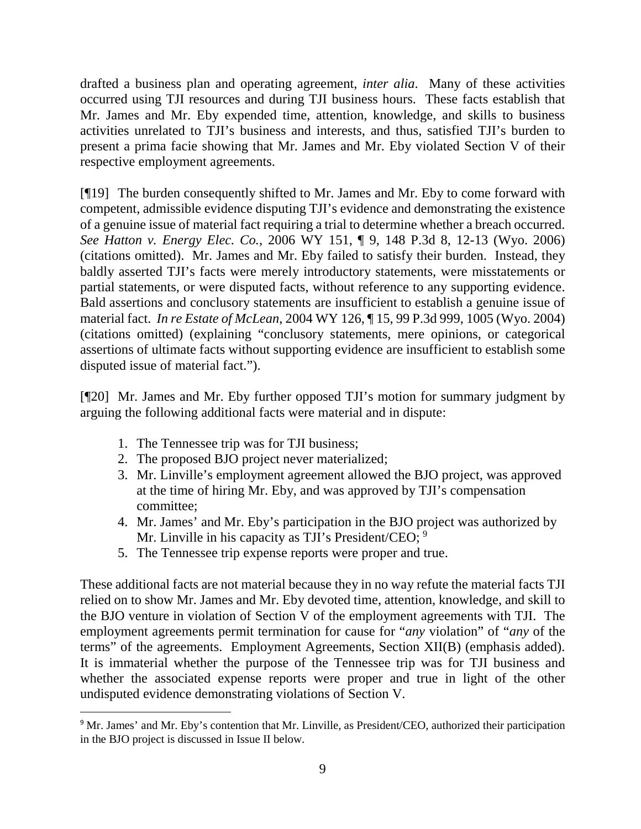drafted a business plan and operating agreement, *inter alia*. Many of these activities occurred using TJI resources and during TJI business hours. These facts establish that Mr. James and Mr. Eby expended time, attention, knowledge, and skills to business activities unrelated to TJI's business and interests, and thus, satisfied TJI's burden to present a prima facie showing that Mr. James and Mr. Eby violated Section V of their respective employment agreements.

[¶19] The burden consequently shifted to Mr. James and Mr. Eby to come forward with competent, admissible evidence disputing TJI's evidence and demonstrating the existence of a genuine issue of material fact requiring a trial to determine whether a breach occurred. *See Hatton v. Energy Elec. Co.*, 2006 WY 151, ¶ 9, 148 P.3d 8, 12-13 (Wyo. 2006) (citations omitted). Mr. James and Mr. Eby failed to satisfy their burden. Instead, they baldly asserted TJI's facts were merely introductory statements, were misstatements or partial statements, or were disputed facts, without reference to any supporting evidence. Bald assertions and conclusory statements are insufficient to establish a genuine issue of material fact. *In re Estate of McLean*, 2004 WY 126, ¶ 15, 99 P.3d 999, 1005 (Wyo. 2004) (citations omitted) (explaining "conclusory statements, mere opinions, or categorical assertions of ultimate facts without supporting evidence are insufficient to establish some disputed issue of material fact.").

[¶20] Mr. James and Mr. Eby further opposed TJI's motion for summary judgment by arguing the following additional facts were material and in dispute:

- 1. The Tennessee trip was for TJI business;
- 2. The proposed BJO project never materialized;
- 3. Mr. Linville's employment agreement allowed the BJO project, was approved at the time of hiring Mr. Eby, and was approved by TJI's compensation committee;
- 4. Mr. James' and Mr. Eby's participation in the BJO project was authorized by Mr. Linville in his capacity as TJI's President/CEO; <sup>[9](#page-9-0)</sup>
- 5. The Tennessee trip expense reports were proper and true.

These additional facts are not material because they in no way refute the material facts TJI relied on to show Mr. James and Mr. Eby devoted time, attention, knowledge, and skill to the BJO venture in violation of Section V of the employment agreements with TJI. The employment agreements permit termination for cause for "*any* violation" of "*any* of the terms" of the agreements. Employment Agreements, Section XII(B) (emphasis added). It is immaterial whether the purpose of the Tennessee trip was for TJI business and whether the associated expense reports were proper and true in light of the other undisputed evidence demonstrating violations of Section V.

<span id="page-9-0"></span> $\overline{a}$ <sup>9</sup> Mr. James' and Mr. Eby's contention that Mr. Linville, as President/CEO, authorized their participation in the BJO project is discussed in Issue II below.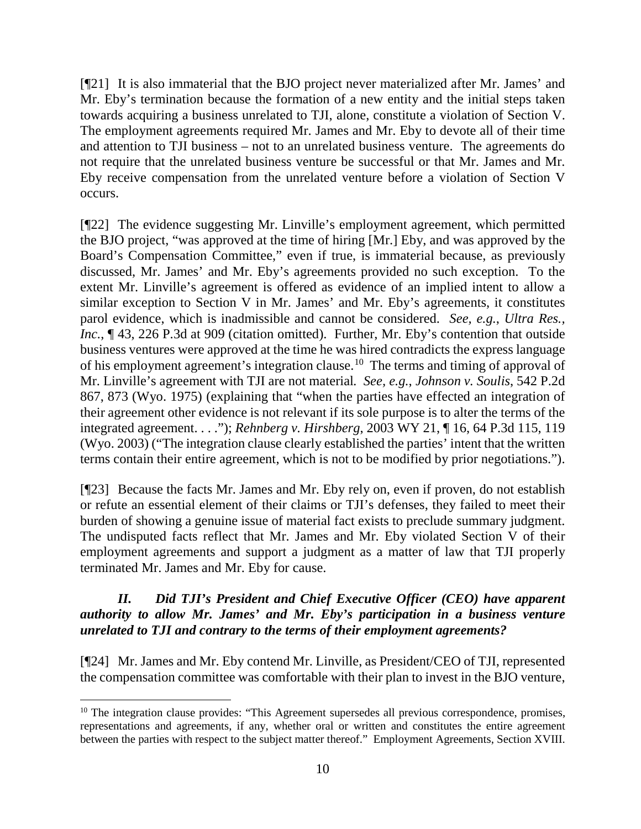[¶21] It is also immaterial that the BJO project never materialized after Mr. James' and Mr. Eby's termination because the formation of a new entity and the initial steps taken towards acquiring a business unrelated to TJI, alone, constitute a violation of Section V. The employment agreements required Mr. James and Mr. Eby to devote all of their time and attention to TJI business – not to an unrelated business venture. The agreements do not require that the unrelated business venture be successful or that Mr. James and Mr. Eby receive compensation from the unrelated venture before a violation of Section V occurs.

[¶22] The evidence suggesting Mr. Linville's employment agreement, which permitted the BJO project, "was approved at the time of hiring [Mr.] Eby, and was approved by the Board's Compensation Committee," even if true, is immaterial because, as previously discussed, Mr. James' and Mr. Eby's agreements provided no such exception. To the extent Mr. Linville's agreement is offered as evidence of an implied intent to allow a similar exception to Section V in Mr. James' and Mr. Eby's agreements, it constitutes parol evidence, which is inadmissible and cannot be considered. *See, e.g.*, *Ultra Res., Inc.*,  $\P$  43, 226 P.3d at 909 (citation omitted). Further, Mr. Eby's contention that outside business ventures were approved at the time he was hired contradicts the express language of his employment agreement's integration clause.<sup>[10](#page-10-0)</sup> The terms and timing of approval of Mr. Linville's agreement with TJI are not material*. See, e.g.*, *Johnson v. Soulis*, 542 P.2d 867, 873 (Wyo. 1975) (explaining that "when the parties have effected an integration of their agreement other evidence is not relevant if its sole purpose is to alter the terms of the integrated agreement. . . ."); *Rehnberg v. Hirshberg*, 2003 WY 21, ¶ 16, 64 P.3d 115, 119 (Wyo. 2003) ("The integration clause clearly established the parties' intent that the written terms contain their entire agreement, which is not to be modified by prior negotiations.").

[¶23] Because the facts Mr. James and Mr. Eby rely on, even if proven, do not establish or refute an essential element of their claims or TJI's defenses, they failed to meet their burden of showing a genuine issue of material fact exists to preclude summary judgment. The undisputed facts reflect that Mr. James and Mr. Eby violated Section V of their employment agreements and support a judgment as a matter of law that TJI properly terminated Mr. James and Mr. Eby for cause.

# *II. Did TJI's President and Chief Executive Officer (CEO) have apparent authority to allow Mr. James' and Mr. Eby's participation in a business venture unrelated to TJI and contrary to the terms of their employment agreements?*

[¶24] Mr. James and Mr. Eby contend Mr. Linville, as President/CEO of TJI, represented the compensation committee was comfortable with their plan to invest in the BJO venture,

<span id="page-10-0"></span><sup>&</sup>lt;sup>10</sup> The integration clause provides: "This Agreement supersedes all previous correspondence, promises, representations and agreements, if any, whether oral or written and constitutes the entire agreement between the parties with respect to the subject matter thereof." Employment Agreements, Section XVIII.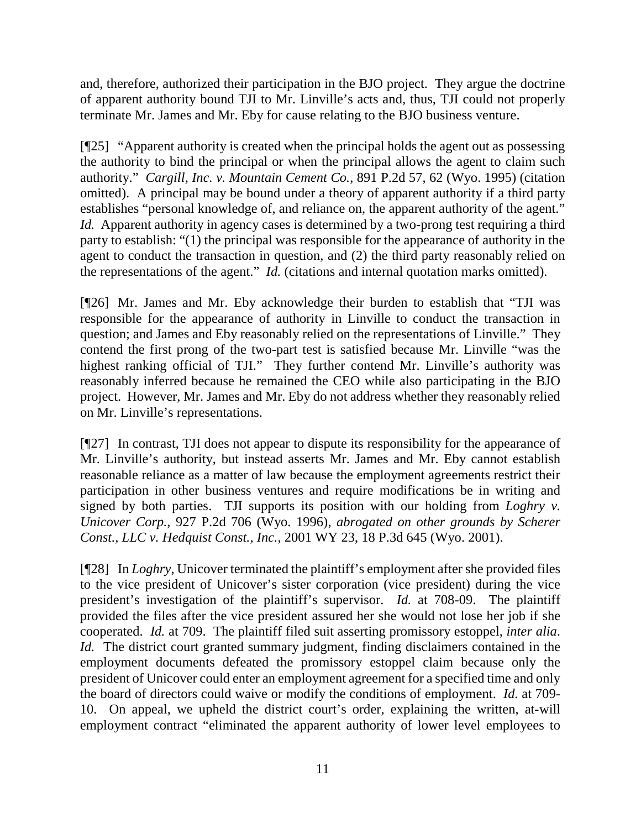and, therefore, authorized their participation in the BJO project. They argue the doctrine of apparent authority bound TJI to Mr. Linville's acts and, thus, TJI could not properly terminate Mr. James and Mr. Eby for cause relating to the BJO business venture.

[¶25] "Apparent authority is created when the principal holds the agent out as possessing the authority to bind the principal or when the principal allows the agent to claim such authority." *Cargill, Inc. v. Mountain Cement Co.*, 891 P.2d 57, 62 (Wyo. 1995) (citation omitted). A principal may be bound under a theory of apparent authority if a third party establishes "personal knowledge of, and reliance on, the apparent authority of the agent." *Id.* Apparent authority in agency cases is determined by a two-prong test requiring a third party to establish: "(1) the principal was responsible for the appearance of authority in the agent to conduct the transaction in question, and (2) the third party reasonably relied on the representations of the agent." *Id.* (citations and internal quotation marks omitted).

[¶26] Mr. James and Mr. Eby acknowledge their burden to establish that "TJI was responsible for the appearance of authority in Linville to conduct the transaction in question; and James and Eby reasonably relied on the representations of Linville." They contend the first prong of the two-part test is satisfied because Mr. Linville "was the highest ranking official of TJI." They further contend Mr. Linville's authority was reasonably inferred because he remained the CEO while also participating in the BJO project. However, Mr. James and Mr. Eby do not address whether they reasonably relied on Mr. Linville's representations.

[¶27] In contrast, TJI does not appear to dispute its responsibility for the appearance of Mr. Linville's authority, but instead asserts Mr. James and Mr. Eby cannot establish reasonable reliance as a matter of law because the employment agreements restrict their participation in other business ventures and require modifications be in writing and signed by both parties. TJI supports its position with our holding from *Loghry v. Unicover Corp.*, 927 P.2d 706 (Wyo. 1996), *abrogated on other grounds by Scherer Const., LLC v. Hedquist Const., Inc.*, 2001 WY 23, 18 P.3d 645 (Wyo. 2001).

[¶28] In *Loghry*, Unicover terminated the plaintiff's employment after she provided files to the vice president of Unicover's sister corporation (vice president) during the vice president's investigation of the plaintiff's supervisor. *Id.* at 708-09. The plaintiff provided the files after the vice president assured her she would not lose her job if she cooperated. *Id.* at 709.The plaintiff filed suit asserting promissory estoppel, *inter alia*. *Id.* The district court granted summary judgment, finding disclaimers contained in the employment documents defeated the promissory estoppel claim because only the president of Unicover could enter an employment agreement for a specified time and only the board of directors could waive or modify the conditions of employment. *Id.* at 709- 10. On appeal, we upheld the district court's order, explaining the written, at-will employment contract "eliminated the apparent authority of lower level employees to